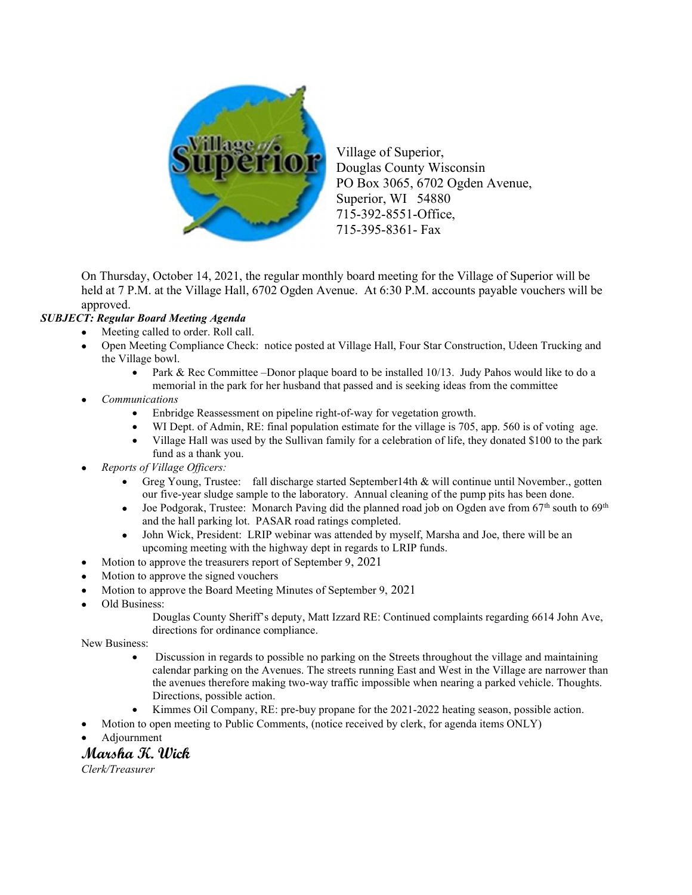

Village of Superior, Douglas County Wisconsin PO Box 3065, 6702 Ogden Avenue, Superior, WI 54880 715-392-8551-Office, 715-395-8361- Fax

On Thursday, October 14, 2021, the regular monthly board meeting for the Village of Superior will be held at 7 P.M. at the Village Hall, 6702 Ogden Avenue. At 6:30 P.M. accounts payable vouchers will be approved.

## SUBJECT: Regular Board Meeting Agenda

- Meeting called to order. Roll call.
- Open Meeting Compliance Check: notice posted at Village Hall, Four Star Construction, Udeen Trucking and the Village bowl.
	- Park & Rec Committee –Donor plaque board to be installed  $10/13$ . Judy Pahos would like to do a memorial in the park for her husband that passed and is seeking ideas from the committee
- Communications
	- Enbridge Reassessment on pipeline right-of-way for vegetation growth.
	- WI Dept. of Admin, RE: final population estimate for the village is 705, app. 560 is of voting age.
	- Village Hall was used by the Sullivan family for a celebration of life, they donated \$100 to the park fund as a thank you.
- Reports of Village Officers:
	- Greg Young, Trustee: fall discharge started September14th & will continue until November., gotten our five-year sludge sample to the laboratory. Annual cleaning of the pump pits has been done.
	- $\bullet$  Joe Podgorak, Trustee: Monarch Paving did the planned road job on Ogden ave from 67<sup>th</sup> south to 69<sup>th</sup> and the hall parking lot. PASAR road ratings completed.
	- John Wick, President: LRIP webinar was attended by myself, Marsha and Joe, there will be an upcoming meeting with the highway dept in regards to LRIP funds.
- Motion to approve the treasurers report of September 9, 2021
- Motion to approve the signed vouchers
- Motion to approve the Board Meeting Minutes of September 9, 2021
- Old Business:
	- Douglas County Sheriff's deputy, Matt Izzard RE: Continued complaints regarding 6614 John Ave, directions for ordinance compliance.

New Business:

- Discussion in regards to possible no parking on the Streets throughout the village and maintaining calendar parking on the Avenues. The streets running East and West in the Village are narrower than the avenues therefore making two-way traffic impossible when nearing a parked vehicle. Thoughts. Directions, possible action.
- Kimmes Oil Company, RE: pre-buy propane for the 2021-2022 heating season, possible action.
- Motion to open meeting to Public Comments, (notice received by clerk, for agenda items ONLY)
- Adjournment

## Marsha K. Wick

Clerk/Treasurer